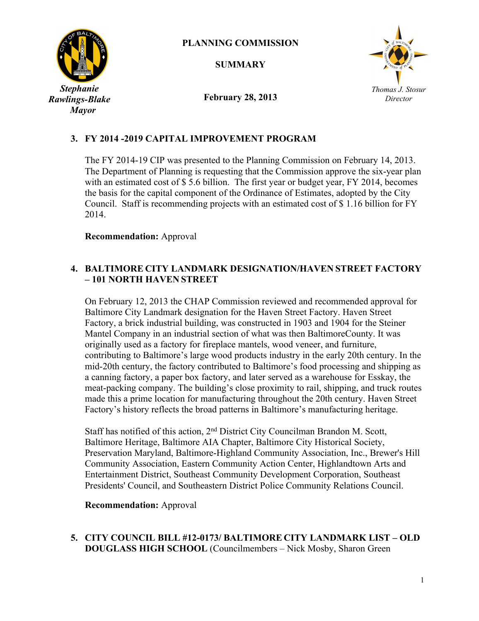

## **PLANNING COMMISSION**

**SUMMARY**



**February 28, 2013**

# **3. FY 2014 -2019 CAPITAL IMPROVEMENT PROGRAM**

The FY 2014-19 CIP was presented to the Planning Commission on February 14, 2013. The Department of Planning is requesting that the Commission approve the six-year plan with an estimated cost of \$5.6 billion. The first year or budget year, FY 2014, becomes the basis for the capital component of the Ordinance of Estimates, adopted by the City Council. Staff is recommending projects with an estimated cost of \$ 1.16 billion for FY 2014.

### **Recommendation:** Approval

## **4. BALTIMORE CITY LANDMARK DESIGNATION/HAVEN STREET FACTORY – 101 NORTH HAVEN STREET**

On February 12, 2013 the CHAP Commission reviewed and recommended approval for Baltimore City Landmark designation for the Haven Street Factory. Haven Street Factory, a brick industrial building, was constructed in 1903 and 1904 for the Steiner Mantel Company in an industrial section of what was then BaltimoreCounty. It was originally used as a factory for fireplace mantels, wood veneer, and furniture, contributing to Baltimore's large wood products industry in the early 20th century. In the mid-20th century, the factory contributed to Baltimore's food processing and shipping as a canning factory, a paper box factory, and later served as a warehouse for Esskay, the meat-packing company. The building's close proximity to rail, shipping, and truck routes made this a prime location for manufacturing throughout the 20th century. Haven Street Factory's history reflects the broad patterns in Baltimore's manufacturing heritage.

Staff has notified of this action, 2<sup>nd</sup> District City Councilman Brandon M. Scott, Baltimore Heritage, Baltimore AIA Chapter, Baltimore City Historical Society, Preservation Maryland, Baltimore-Highland Community Association, Inc., Brewer's Hill Community Association, Eastern Community Action Center, Highlandtown Arts and Entertainment District, Southeast Community Development Corporation, Southeast Presidents' Council, and Southeastern District Police Community Relations Council.

### **Recommendation:** Approval

### **5. CITY COUNCIL BILL #12-0173/ BALTIMORE CITY LANDMARK LIST – OLD DOUGLASS HIGH SCHOOL** (Councilmembers – Nick Mosby, Sharon Green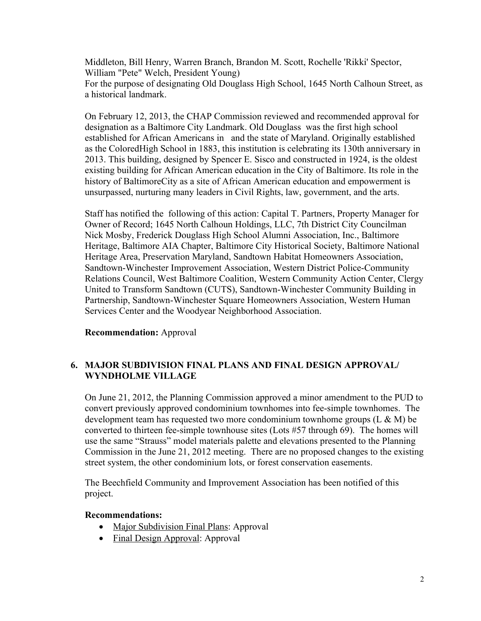Middleton, Bill Henry, Warren Branch, Brandon M. Scott, Rochelle 'Rikki' Spector, William "Pete" Welch, President Young) For the purpose of designating Old Douglass High School, 1645 North Calhoun Street, as a historical landmark.

On February 12, 2013, the CHAP Commission reviewed and recommended approval for designation as a Baltimore City Landmark. Old Douglass was the first high school established for African Americans in and the state of Maryland. Originally established as the ColoredHigh School in 1883, this institution is celebrating its 130th anniversary in 2013. This building, designed by Spencer E. Sisco and constructed in 1924, is the oldest existing building for African American education in the City of Baltimore. Its role in the history of BaltimoreCity as a site of African American education and empowerment is unsurpassed, nurturing many leaders in Civil Rights, law, government, and the arts.

Staff has notified the following of this action: Capital T. Partners, Property Manager for Owner of Record; 1645 North Calhoun Holdings, LLC, 7th District City Councilman Nick Mosby, Frederick Douglass High School Alumni Association, Inc., Baltimore Heritage, Baltimore AIA Chapter, Baltimore City Historical Society, Baltimore National Heritage Area, Preservation Maryland, Sandtown Habitat Homeowners Association, Sandtown-Winchester Improvement Association, Western District Police-Community Relations Council, West Baltimore Coalition, Western Community Action Center, Clergy United to Transform Sandtown (CUTS), Sandtown-Winchester Community Building in Partnership, Sandtown-Winchester Square Homeowners Association, Western Human Services Center and the Woodyear Neighborhood Association.

### **Recommendation:** Approval

## **6. MAJOR SUBDIVISION FINAL PLANS AND FINAL DESIGN APPROVAL/ WYNDHOLME VILLAGE**

On June 21, 2012, the Planning Commission approved a minor amendment to the PUD to convert previously approved condominium townhomes into fee-simple townhomes. The development team has requested two more condominium townhome groups  $(L \& M)$  be converted to thirteen fee-simple townhouse sites (Lots #57 through 69). The homes will use the same "Strauss" model materials palette and elevations presented to the Planning Commission in the June 21, 2012 meeting. There are no proposed changes to the existing street system, the other condominium lots, or forest conservation easements.

The Beechfield Community and Improvement Association has been notified of this project.

### **Recommendations:**

- Major Subdivision Final Plans: Approval
- Final Design Approval: Approval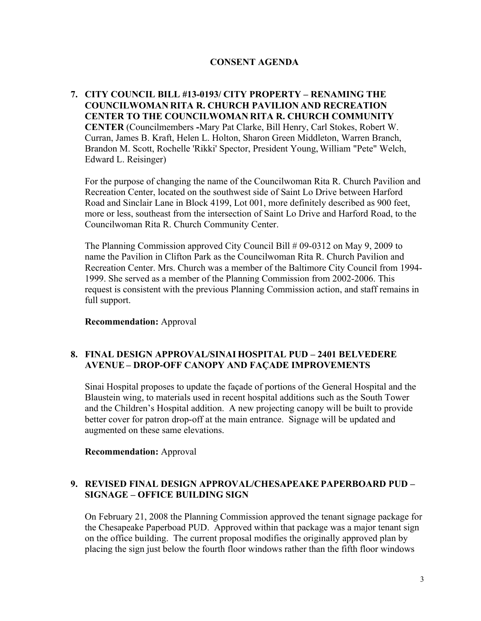## **CONSENT AGENDA**

**7. CITY COUNCIL BILL #13-0193/ CITY PROPERTY – RENAMING THE COUNCILWOMAN RITA R. CHURCH PAVILION AND RECREATION CENTER TO THE COUNCILWOMAN RITA R. CHURCH COMMUNITY CENTER** (Councilmembers **-**Mary Pat Clarke, Bill Henry, Carl Stokes, Robert W. Curran, James B. Kraft, Helen L. Holton, Sharon Green Middleton, Warren Branch, Brandon M. Scott, Rochelle 'Rikki' Spector, President Young, William "Pete" Welch, Edward L. Reisinger)

For the purpose of changing the name of the Councilwoman Rita R. Church Pavilion and Recreation Center, located on the southwest side of Saint Lo Drive between Harford Road and Sinclair Lane in Block 4199, Lot 001, more definitely described as 900 feet, more or less, southeast from the intersection of Saint Lo Drive and Harford Road, to the Councilwoman Rita R. Church Community Center.

The Planning Commission approved City Council Bill # 09-0312 on May 9, 2009 to name the Pavilion in Clifton Park as the Councilwoman Rita R. Church Pavilion and Recreation Center. Mrs. Church was a member of the Baltimore City Council from 1994- 1999. She served as a member of the Planning Commission from 2002-2006. This request is consistent with the previous Planning Commission action, and staff remains in full support.

**Recommendation:** Approval

### **8. FINAL DESIGN APPROVAL/SINAI HOSPITAL PUD – 2401 BELVEDERE AVENUE – DROP-OFF CANOPY AND FAÇADE IMPROVEMENTS**

Sinai Hospital proposes to update the façade of portions of the General Hospital and the Blaustein wing, to materials used in recent hospital additions such as the South Tower and the Children's Hospital addition. A new projecting canopy will be built to provide better cover for patron drop-off at the main entrance. Signage will be updated and augmented on these same elevations.

**Recommendation:** Approval

## **9. REVISED FINAL DESIGN APPROVAL/CHESAPEAKE PAPERBOARD PUD – SIGNAGE – OFFICE BUILDING SIGN**

On February 21, 2008 the Planning Commission approved the tenant signage package for the Chesapeake Paperboad PUD. Approved within that package was a major tenant sign on the office building. The current proposal modifies the originally approved plan by placing the sign just below the fourth floor windows rather than the fifth floor windows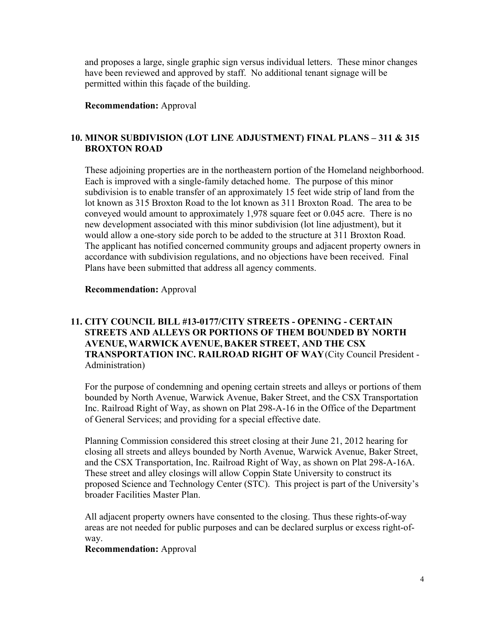and proposes a large, single graphic sign versus individual letters. These minor changes have been reviewed and approved by staff. No additional tenant signage will be permitted within this façade of the building.

### **Recommendation:** Approval

## **10. MINOR SUBDIVISION (LOT LINE ADJUSTMENT) FINAL PLANS – 311 & 315 BROXTON ROAD**

These adjoining properties are in the northeastern portion of the Homeland neighborhood. Each is improved with a single-family detached home. The purpose of this minor subdivision is to enable transfer of an approximately 15 feet wide strip of land from the lot known as 315 Broxton Road to the lot known as 311 Broxton Road. The area to be conveyed would amount to approximately 1,978 square feet or 0.045 acre. There is no new development associated with this minor subdivision (lot line adjustment), but it would allow a one-story side porch to be added to the structure at 311 Broxton Road. The applicant has notified concerned community groups and adjacent property owners in accordance with subdivision regulations, and no objections have been received. Final Plans have been submitted that address all agency comments.

#### **Recommendation:** Approval

## **11. CITY COUNCIL BILL #13-0177/CITY STREETS - OPENING - CERTAIN STREETS AND ALLEYS OR PORTIONS OF THEM BOUNDED BY NORTH AVENUE, WARWICK AVENUE, BAKER STREET, AND THE CSX TRANSPORTATION INC. RAILROAD RIGHT OF WAY**(City Council President - Administration)

For the purpose of condemning and opening certain streets and alleys or portions of them bounded by North Avenue, Warwick Avenue, Baker Street, and the CSX Transportation Inc. Railroad Right of Way, as shown on Plat 298-A-16 in the Office of the Department of General Services; and providing for a special effective date.

Planning Commission considered this street closing at their June 21, 2012 hearing for closing all streets and alleys bounded by North Avenue, Warwick Avenue, Baker Street, and the CSX Transportation, Inc. Railroad Right of Way, as shown on Plat 298-A-16A. These street and alley closings will allow Coppin State University to construct its proposed Science and Technology Center (STC). This project is part of the University's broader Facilities Master Plan.

All adjacent property owners have consented to the closing. Thus these rights-of-way areas are not needed for public purposes and can be declared surplus or excess right-ofway.

#### **Recommendation:** Approval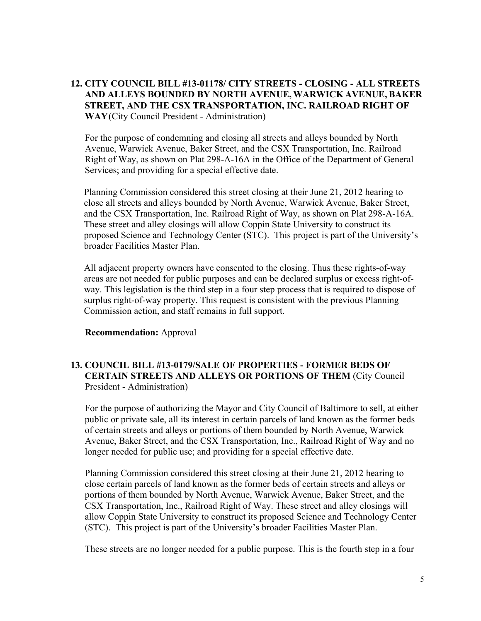## **12. CITY COUNCIL BILL #13-01178/ CITY STREETS - CLOSING - ALL STREETS AND ALLEYS BOUNDED BY NORTH AVENUE, WARWICK AVENUE, BAKER STREET, AND THE CSX TRANSPORTATION, INC. RAILROAD RIGHT OF WAY**(City Council President - Administration)

For the purpose of condemning and closing all streets and alleys bounded by North Avenue, Warwick Avenue, Baker Street, and the CSX Transportation, Inc. Railroad Right of Way, as shown on Plat 298-A-16A in the Office of the Department of General Services; and providing for a special effective date.

Planning Commission considered this street closing at their June 21, 2012 hearing to close all streets and alleys bounded by North Avenue, Warwick Avenue, Baker Street, and the CSX Transportation, Inc. Railroad Right of Way, as shown on Plat 298-A-16A. These street and alley closings will allow Coppin State University to construct its proposed Science and Technology Center (STC). This project is part of the University's broader Facilities Master Plan.

All adjacent property owners have consented to the closing. Thus these rights-of-way areas are not needed for public purposes and can be declared surplus or excess right-ofway. This legislation is the third step in a four step process that is required to dispose of surplus right-of-way property. This request is consistent with the previous Planning Commission action, and staff remains in full support.

#### **Recommendation:** Approval

## **13. COUNCIL BILL #13-0179/SALE OF PROPERTIES - FORMER BEDS OF CERTAIN STREETS AND ALLEYS OR PORTIONS OF THEM** (City Council President - Administration)

For the purpose of authorizing the Mayor and City Council of Baltimore to sell, at either public or private sale, all its interest in certain parcels of land known as the former beds of certain streets and alleys or portions of them bounded by North Avenue, Warwick Avenue, Baker Street, and the CSX Transportation, Inc., Railroad Right of Way and no longer needed for public use; and providing for a special effective date.

Planning Commission considered this street closing at their June 21, 2012 hearing to close certain parcels of land known as the former beds of certain streets and alleys or portions of them bounded by North Avenue, Warwick Avenue, Baker Street, and the CSX Transportation, Inc., Railroad Right of Way. These street and alley closings will allow Coppin State University to construct its proposed Science and Technology Center (STC). This project is part of the University's broader Facilities Master Plan.

These streets are no longer needed for a public purpose. This is the fourth step in a four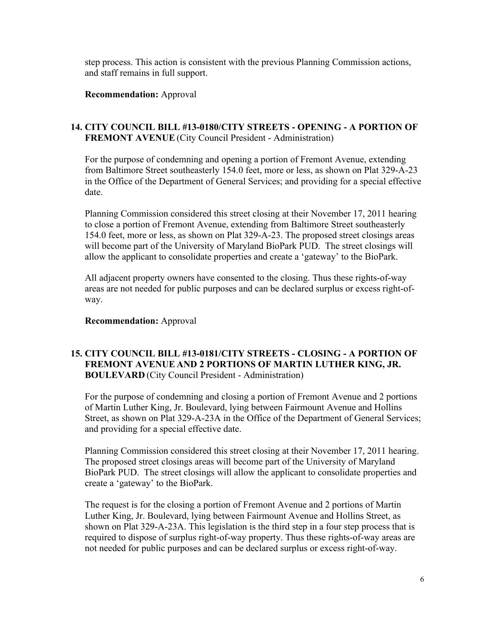step process. This action is consistent with the previous Planning Commission actions, and staff remains in full support.

### **Recommendation:** Approval

## **14. CITY COUNCIL BILL #13-0180/CITY STREETS - OPENING - A PORTION OF FREMONT AVENUE** (City Council President - Administration)

For the purpose of condemning and opening a portion of Fremont Avenue, extending from Baltimore Street southeasterly 154.0 feet, more or less, as shown on Plat 329-A-23 in the Office of the Department of General Services; and providing for a special effective date.

Planning Commission considered this street closing at their November 17, 2011 hearing to close a portion of Fremont Avenue, extending from Baltimore Street southeasterly 154.0 feet, more or less, as shown on Plat 329-A-23. The proposed street closings areas will become part of the University of Maryland BioPark PUD. The street closings will allow the applicant to consolidate properties and create a 'gateway' to the BioPark.

All adjacent property owners have consented to the closing. Thus these rights-of-way areas are not needed for public purposes and can be declared surplus or excess right-ofway.

### **Recommendation:** Approval

## **15. CITY COUNCIL BILL #13-0181/CITY STREETS - CLOSING - A PORTION OF FREMONT AVENUE AND 2 PORTIONS OF MARTIN LUTHER KING, JR. BOULEVARD** (City Council President - Administration)

For the purpose of condemning and closing a portion of Fremont Avenue and 2 portions of Martin Luther King, Jr. Boulevard, lying between Fairmount Avenue and Hollins Street, as shown on Plat 329-A-23A in the Office of the Department of General Services; and providing for a special effective date.

Planning Commission considered this street closing at their November 17, 2011 hearing. The proposed street closings areas will become part of the University of Maryland BioPark PUD. The street closings will allow the applicant to consolidate properties and create a 'gateway' to the BioPark.

The request is for the closing a portion of Fremont Avenue and 2 portions of Martin Luther King, Jr. Boulevard, lying between Fairmount Avenue and Hollins Street, as shown on Plat 329-A-23A. This legislation is the third step in a four step process that is required to dispose of surplus right-of-way property. Thus these rights-of-way areas are not needed for public purposes and can be declared surplus or excess right-of-way.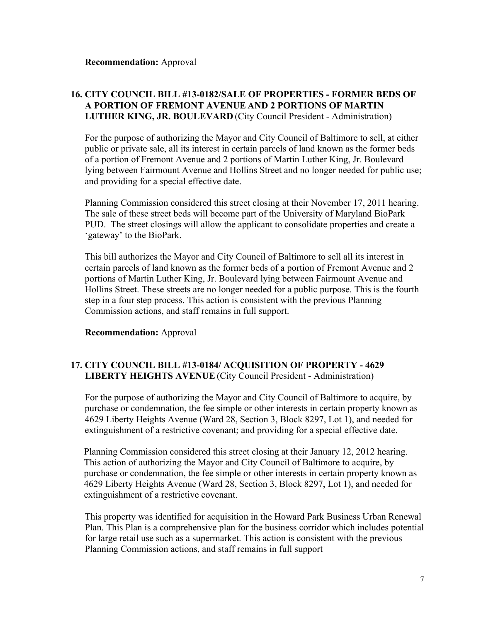## **16. CITY COUNCIL BILL #13-0182/SALE OF PROPERTIES - FORMER BEDS OF A PORTION OF FREMONT AVENUE AND 2 PORTIONS OF MARTIN LUTHER KING, JR. BOULEVARD** (City Council President - Administration)

For the purpose of authorizing the Mayor and City Council of Baltimore to sell, at either public or private sale, all its interest in certain parcels of land known as the former beds of a portion of Fremont Avenue and 2 portions of Martin Luther King, Jr. Boulevard lying between Fairmount Avenue and Hollins Street and no longer needed for public use; and providing for a special effective date.

Planning Commission considered this street closing at their November 17, 2011 hearing. The sale of these street beds will become part of the University of Maryland BioPark PUD. The street closings will allow the applicant to consolidate properties and create a 'gateway' to the BioPark.

This bill authorizes the Mayor and City Council of Baltimore to sell all its interest in certain parcels of land known as the former beds of a portion of Fremont Avenue and 2 portions of Martin Luther King, Jr. Boulevard lying between Fairmount Avenue and Hollins Street. These streets are no longer needed for a public purpose. This is the fourth step in a four step process. This action is consistent with the previous Planning Commission actions, and staff remains in full support.

### **Recommendation:** Approval

## **17. CITY COUNCIL BILL #13-0184/ ACQUISITION OF PROPERTY - 4629 LIBERTY HEIGHTS AVENUE** (City Council President - Administration)

For the purpose of authorizing the Mayor and City Council of Baltimore to acquire, by purchase or condemnation, the fee simple or other interests in certain property known as 4629 Liberty Heights Avenue (Ward 28, Section 3, Block 8297, Lot 1), and needed for extinguishment of a restrictive covenant; and providing for a special effective date.

Planning Commission considered this street closing at their January 12, 2012 hearing. This action of authorizing the Mayor and City Council of Baltimore to acquire, by purchase or condemnation, the fee simple or other interests in certain property known as 4629 Liberty Heights Avenue (Ward 28, Section 3, Block 8297, Lot 1), and needed for extinguishment of a restrictive covenant.

This property was identified for acquisition in the Howard Park Business Urban Renewal Plan. This Plan is a comprehensive plan for the business corridor which includes potential for large retail use such as a supermarket. This action is consistent with the previous Planning Commission actions, and staff remains in full support